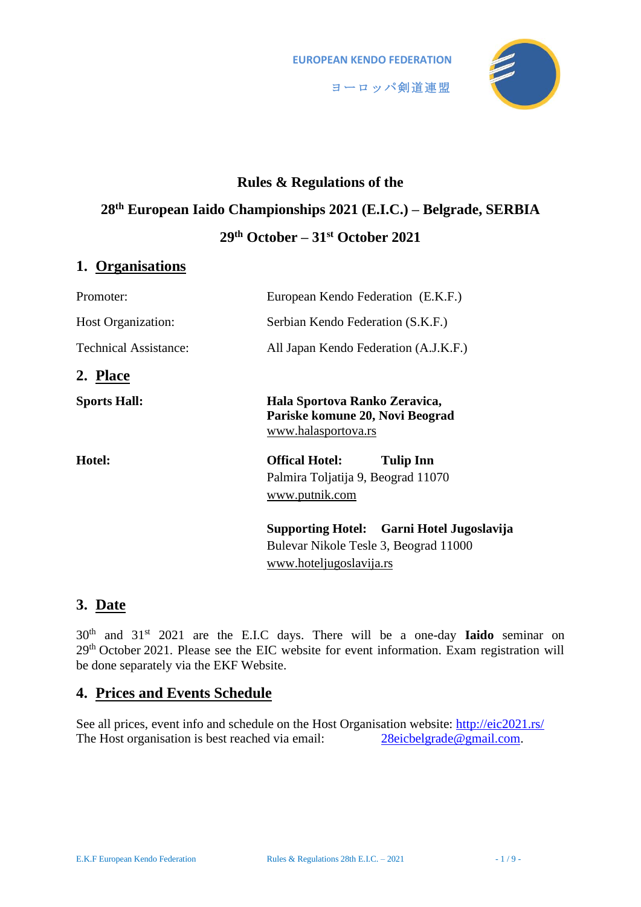

# **Rules & Regulations of the 28th European Iaido Championships 2021 (E.I.C.) – Belgrade, SERBIA 29th October – 31st October 2021**

## **1. Organisations**

| Promoter:                    | European Kendo Federation (E.K.F.)                                                                                   |
|------------------------------|----------------------------------------------------------------------------------------------------------------------|
| <b>Host Organization:</b>    | Serbian Kendo Federation (S.K.F.)                                                                                    |
| <b>Technical Assistance:</b> | All Japan Kendo Federation (A.J.K.F.)                                                                                |
| 2. Place                     |                                                                                                                      |
| <b>Sports Hall:</b>          | Hala Sportova Ranko Zeravica,<br>Pariske komune 20, Novi Beograd<br>www.halasportova.rs                              |
| Hotel:                       | <b>Offical Hotel:</b><br><b>Tulip Inn</b><br>Palmira Toljatija 9, Beograd 11070<br>www.putnik.com                    |
|                              | <b>Supporting Hotel:</b> Garni Hotel Jugoslavija<br>Bulevar Nikole Tesle 3, Beograd 11000<br>www.hoteljugoslavija.rs |

## **3. Date**

30th and 31st 2021 are the E.I.C days. There will be a one-day **Iaido** seminar on 29th October 2021. Please see the EIC website for event information. Exam registration will be done separately via the EKF Website.

## **4. Prices and Events Schedule**

See all prices, event info and schedule on the Host Organisation website:<http://eic2021.rs/> The Host organisation is best reached via email: [28eicbelgrade@gmail.com.](mailto:28eicbelgrade@gmail.com?subject=28EIC2021%20SRB%20-%20)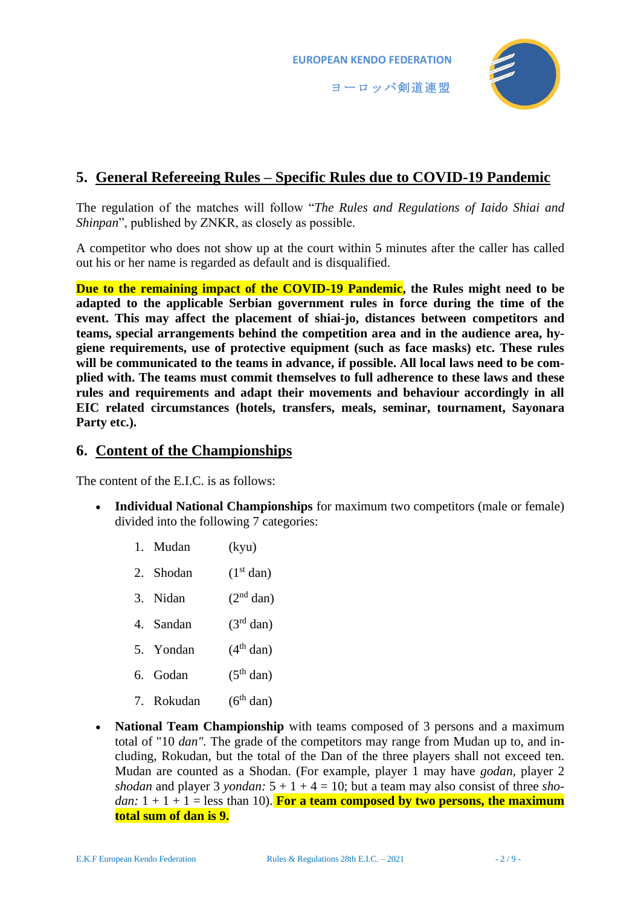

## **5. General Refereeing Rules – Specific Rules due to COVID-19 Pandemic**

The regulation of the matches will follow "*The Rules and Regulations of Iaido Shiai and Shinpan*", published by ZNKR, as closely as possible.

A competitor who does not show up at the court within 5 minutes after the caller has called out his or her name is regarded as default and is disqualified.

**Due to the remaining impact of the COVID-19 Pandemic, the Rules might need to be adapted to the applicable Serbian government rules in force during the time of the event. This may affect the placement of shiai-jo, distances between competitors and teams, special arrangements behind the competition area and in the audience area, hygiene requirements, use of protective equipment (such as face masks) etc. These rules will be communicated to the teams in advance, if possible. All local laws need to be complied with. The teams must commit themselves to full adherence to these laws and these rules and requirements and adapt their movements and behaviour accordingly in all EIC related circumstances (hotels, transfers, meals, seminar, tournament, Sayonara**  Party etc.).

## **6. Content of the Championships**

The content of the E.I.C. is as follows:

- **Individual National Championships** for maximum two competitors (male or female) divided into the following 7 categories:
	- 1. Mudan (kyu)
	- 2. Shodan  $(1<sup>st</sup> dan)$
	- 3. Nidan  $(2<sup>nd</sup> dan)$
	- 4. Sandan  $(3<sup>rd</sup> dan)$
	- 5. Yondan  $(4<sup>th</sup> dan)$
	- 6. Godan  $(5<sup>th</sup>$  dan)
	- 7. Rokudan  $(6<sup>th</sup>$  dan)
- **National Team Championship** with teams composed of 3 persons and a maximum total of "10 *dan".* The grade of the competitors may range from Mudan up to, and including, Rokudan, but the total of the Dan of the three players shall not exceed ten. Mudan are counted as a Shodan. (For example, player 1 may have *godan,* player 2 *shodan* and player 3 *yondan*:  $5 + 1 + 4 = 10$ ; but a team may also consist of three *shodan:*  $1 + 1 + 1 =$  less than 10). For a team composed by two persons, the maximum **total sum of dan is 9.**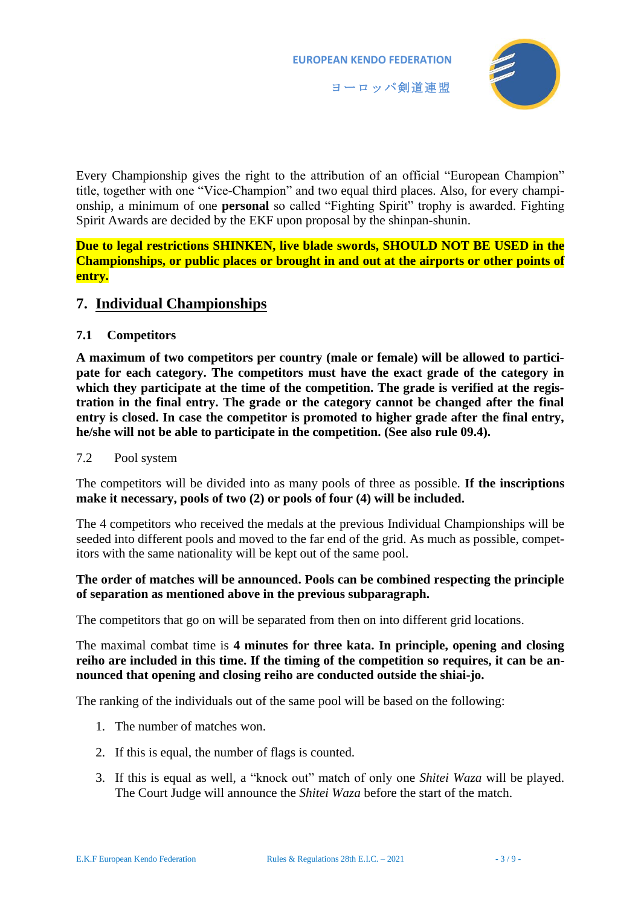

Every Championship gives the right to the attribution of an official "European Champion" title, together with one "Vice-Champion" and two equal third places. Also, for every championship, a minimum of one **personal** so called "Fighting Spirit" trophy is awarded. Fighting Spirit Awards are decided by the EKF upon proposal by the shinpan-shunin.

**Due to legal restrictions SHINKEN, live blade swords, SHOULD NOT BE USED in the Championships, or public places or brought in and out at the airports or other points of entry.**

## **7. Individual Championships**

#### **7.1 Competitors**

<span id="page-2-0"></span>**A maximum of two competitors per country (male or female) will be allowed to participate for each category. The competitors must have the exact grade of the category in**  which they participate at the time of the competition. The grade is verified at the regis**tration in the final entry. The grade or the category cannot be changed after the final entry is closed. In case the competitor is promoted to higher grade after the final entry, he/she will not be able to participate in the competition. (See also rule 09.4).**

#### 7.2 Pool system

The competitors will be divided into as many pools of three as possible. **If the inscriptions make it necessary, pools of two (2) or pools of four (4) will be included.**

The 4 competitors who received the medals at the previous Individual Championships will be seeded into different pools and moved to the far end of the grid. As much as possible, competitors with the same nationality will be kept out of the same pool.

#### **The order of matches will be announced. Pools can be combined respecting the principle of separation as mentioned above in the previous subparagraph.**

The competitors that go on will be separated from then on into different grid locations.

The maximal combat time is **4 minutes for three kata. In principle, opening and closing reiho are included in this time. If the timing of the competition so requires, it can be announced that opening and closing reiho are conducted outside the shiai-jo.**

The ranking of the individuals out of the same pool will be based on the following:

- 1. The number of matches won.
- 2. If this is equal, the number of flags is counted.
- 3. If this is equal as well, a "knock out" match of only one *Shitei Waza* will be played. The Court Judge will announce the *Shitei Waza* before the start of the match.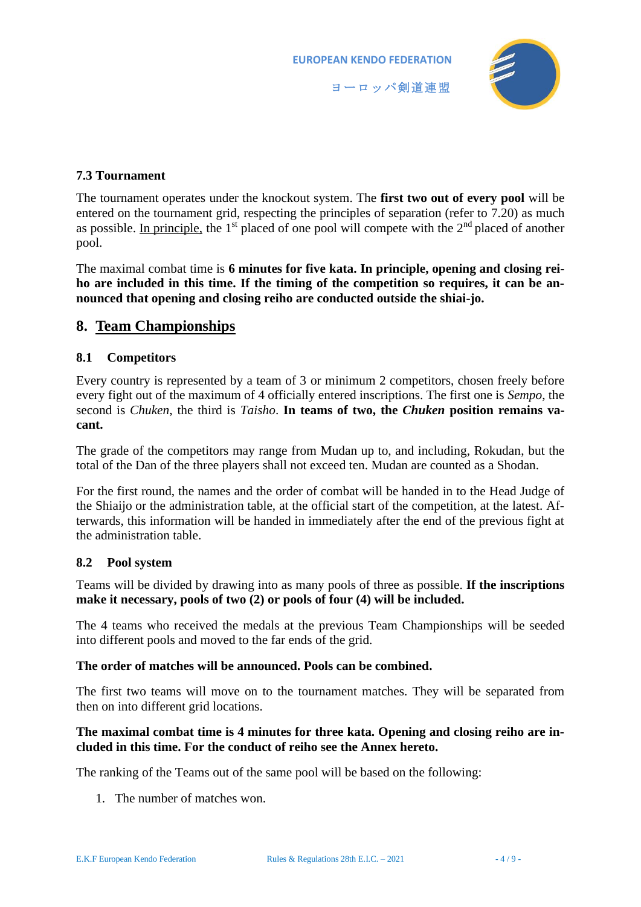

#### **7.3 Tournament**

The tournament operates under the knockout system. The **first two out of every pool** will be entered on the tournament grid, respecting the principles of separation (refer to 7.[20\)](#page-2-0) as much as possible. In principle, the  $1<sup>st</sup>$  placed of one pool will compete with the  $2<sup>nd</sup>$  placed of another pool.

The maximal combat time is **6 minutes for five kata. In principle, opening and closing reiho are included in this time. If the timing of the competition so requires, it can be announced that opening and closing reiho are conducted outside the shiai-jo.**

## **8. Team Championships**

#### **8.1 Competitors**

Every country is represented by a team of 3 or minimum 2 competitors, chosen freely before every fight out of the maximum of 4 officially entered inscriptions. The first one is *Sempo*, the second is *Chuken*, the third is *Taisho*. **In teams of two, the** *Chuken* **position remains vacant.**

The grade of the competitors may range from Mudan up to, and including, Rokudan, but the total of the Dan of the three players shall not exceed ten. Mudan are counted as a Shodan.

For the first round, the names and the order of combat will be handed in to the Head Judge of the Shiaijo or the administration table, at the official start of the competition, at the latest. Afterwards, this information will be handed in immediately after the end of the previous fight at the administration table.

#### **8.2 Pool system**

Teams will be divided by drawing into as many pools of three as possible. **If the inscriptions make it necessary, pools of two (2) or pools of four (4) will be included.**

The 4 teams who received the medals at the previous Team Championships will be seeded into different pools and moved to the far ends of the grid.

#### **The order of matches will be announced. Pools can be combined.**

The first two teams will move on to the tournament matches. They will be separated from then on into different grid locations.

#### **The maximal combat time is 4 minutes for three kata. Opening and closing reiho are included in this time. For the conduct of reiho see the Annex hereto.**

The ranking of the Teams out of the same pool will be based on the following:

1. The number of matches won.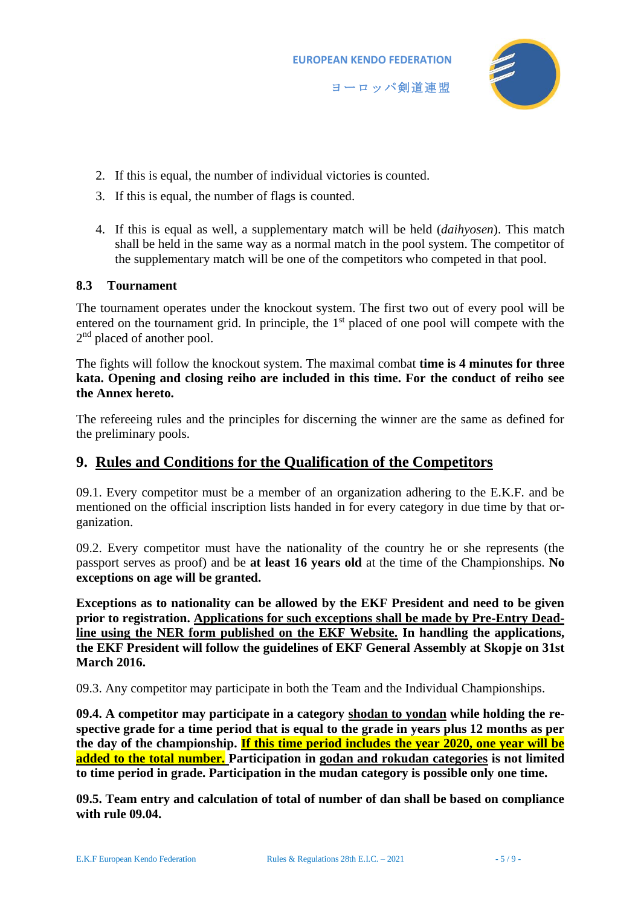

- 2. If this is equal, the number of individual victories is counted.
- 3. If this is equal, the number of flags is counted.
- 4. If this is equal as well, a supplementary match will be held (*daihyosen*). This match shall be held in the same way as a normal match in the pool system. The competitor of the supplementary match will be one of the competitors who competed in that pool.

#### **8.3 Tournament**

The tournament operates under the knockout system. The first two out of every pool will be entered on the tournament grid. In principle, the 1<sup>st</sup> placed of one pool will compete with the 2<sup>nd</sup> placed of another pool.

The fights will follow the knockout system. The maximal combat **time is 4 minutes for three kata. Opening and closing reiho are included in this time. For the conduct of reiho see the Annex hereto.** 

The refereeing rules and the principles for discerning the winner are the same as defined for the preliminary pools.

## **9. Rules and Conditions for the Qualification of the Competitors**

09.1. Every competitor must be a member of an organization adhering to the E.K.F. and be mentioned on the official inscription lists handed in for every category in due time by that organization.

09.2. Every competitor must have the nationality of the country he or she represents (the passport serves as proof) and be **at least 16 years old** at the time of the Championships. **No exceptions on age will be granted.**

**Exceptions as to nationality can be allowed by the EKF President and need to be given prior to registration. Applications for such exceptions shall be made by Pre-Entry Deadline using the NER form published on the EKF Website. In handling the applications, the EKF President will follow the guidelines of EKF General Assembly at Skopje on 31st March 2016.**

09.3. Any competitor may participate in both the Team and the Individual Championships.

**09.4. A competitor may participate in a category shodan to yondan while holding the re**spective grade for a time period that is equal to the grade in years plus 12 months as per **the day of the championship. If this time period includes the year 2020, one year will be added to the total number. Participation in godan and rokudan categories is not limited to time period in grade. Participation in the mudan category is possible only one time.**

**09.5. Team entry and calculation of total of number of dan shall be based on compliance with rule 09.04.**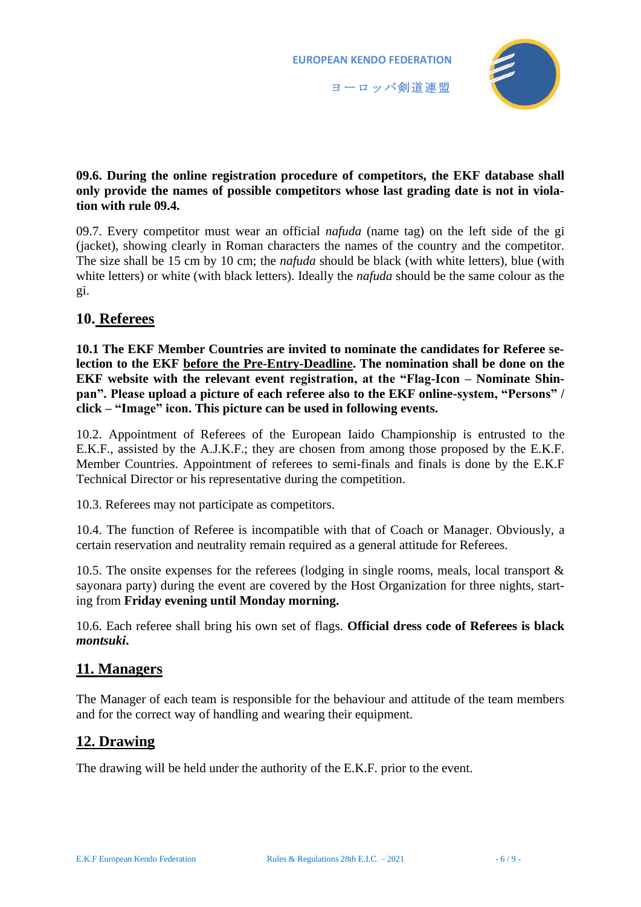

#### **09.6. During the online registration procedure of competitors, the EKF database shall only provide the names of possible competitors whose last grading date is not in violation with rule 09.4.**

09.7. Every competitor must wear an official *nafuda* (name tag) on the left side of the gi (jacket), showing clearly in Roman characters the names of the country and the competitor. The size shall be 15 cm by 10 cm; the *nafuda* should be black (with white letters), blue (with white letters) or white (with black letters). Ideally the *nafuda* should be the same colour as the gi.

## **10. Referees**

**10.1 The EKF Member Countries are invited to nominate the candidates for Referee selection to the EKF before the Pre-Entry-Deadline. The nomination shall be done on the EKF website with the relevant event registration, at the "Flag-Icon – Nominate Shinpan". Please upload a picture of each referee also to the EKF online-system, "Persons" / click – "Image" icon. This picture can be used in following events.**

10.2. Appointment of Referees of the European Iaido Championship is entrusted to the E.K.F., assisted by the A.J.K.F.; they are chosen from among those proposed by the E.K.F. Member Countries. Appointment of referees to semi-finals and finals is done by the E.K.F Technical Director or his representative during the competition.

10.3. Referees may not participate as competitors.

10.4. The function of Referee is incompatible with that of Coach or Manager. Obviously, a certain reservation and neutrality remain required as a general attitude for Referees.

10.5. The onsite expenses for the referees (lodging in single rooms, meals, local transport & sayonara party) during the event are covered by the Host Organization for three nights, starting from **Friday evening until Monday morning.**

10.6. Each referee shall bring his own set of flags. **Official dress code of Referees is black**  *montsuki***.** 

## **11. Managers**

The Manager of each team is responsible for the behaviour and attitude of the team members and for the correct way of handling and wearing their equipment.

## **12. Drawing**

The drawing will be held under the authority of the E.K.F. prior to the event.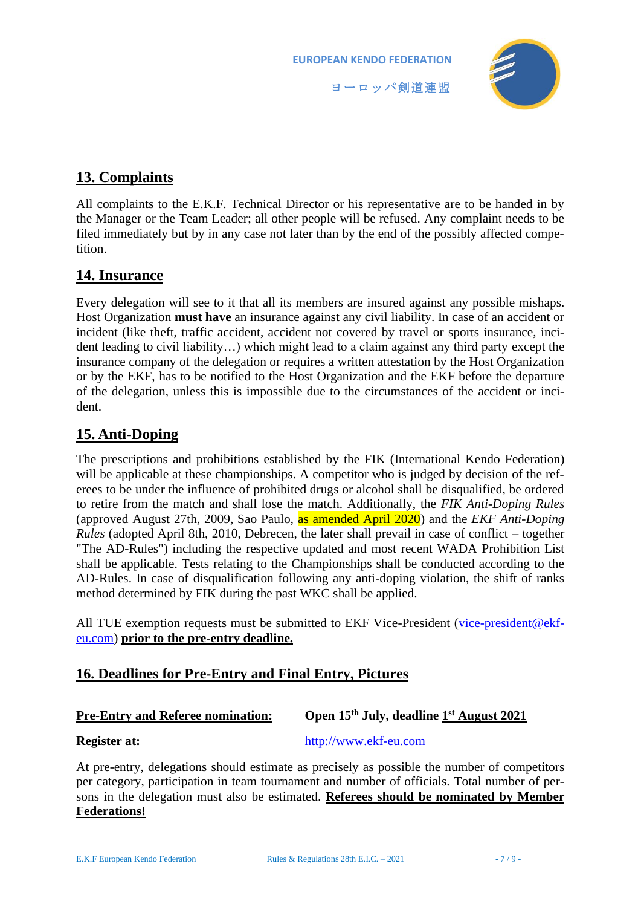

## **13. Complaints**

All complaints to the E.K.F. Technical Director or his representative are to be handed in by the Manager or the Team Leader; all other people will be refused. Any complaint needs to be filed immediately but by in any case not later than by the end of the possibly affected competition.

## **14. Insurance**

Every delegation will see to it that all its members are insured against any possible mishaps. Host Organization **must have** an insurance against any civil liability. In case of an accident or incident (like theft, traffic accident, accident not covered by travel or sports insurance, incident leading to civil liability…) which might lead to a claim against any third party except the insurance company of the delegation or requires a written attestation by the Host Organization or by the EKF, has to be notified to the Host Organization and the EKF before the departure of the delegation, unless this is impossible due to the circumstances of the accident or incident.

## **15. Anti-Doping**

The prescriptions and prohibitions established by the FIK (International Kendo Federation) will be applicable at these championships. A competitor who is judged by decision of the referees to be under the influence of prohibited drugs or alcohol shall be disqualified, be ordered to retire from the match and shall lose the match. Additionally, the *FIK Anti-Doping Rules* (approved August 27th, 2009, Sao Paulo, as amended April 2020) and the *EKF Anti-Doping Rules* (adopted April 8th, 2010, Debrecen, the later shall prevail in case of conflict – together "The AD-Rules") including the respective updated and most recent WADA Prohibition List shall be applicable. Tests relating to the Championships shall be conducted according to the AD-Rules. In case of disqualification following any anti-doping violation, the shift of ranks method determined by FIK during the past WKC shall be applied.

All TUE exemption requests must be submitted to EKF Vice-President [\(vice-president@ekf](mailto:vice-president@ekf-eu.com)[eu.com\)](mailto:vice-president@ekf-eu.com) **prior to the pre-entry deadline.**

## **16. Deadlines for Pre-Entry and Final Entry, Pictures**

#### **Pre-Entry and Referee nomination: th July, deadline 1 st August 2021**

**Register at:** [http://www.ekf-eu.com](http://www.ekf-eu.com/)

At pre-entry, delegations should estimate as precisely as possible the number of competitors per category, participation in team tournament and number of officials. Total number of persons in the delegation must also be estimated. **Referees should be nominated by Member Federations!**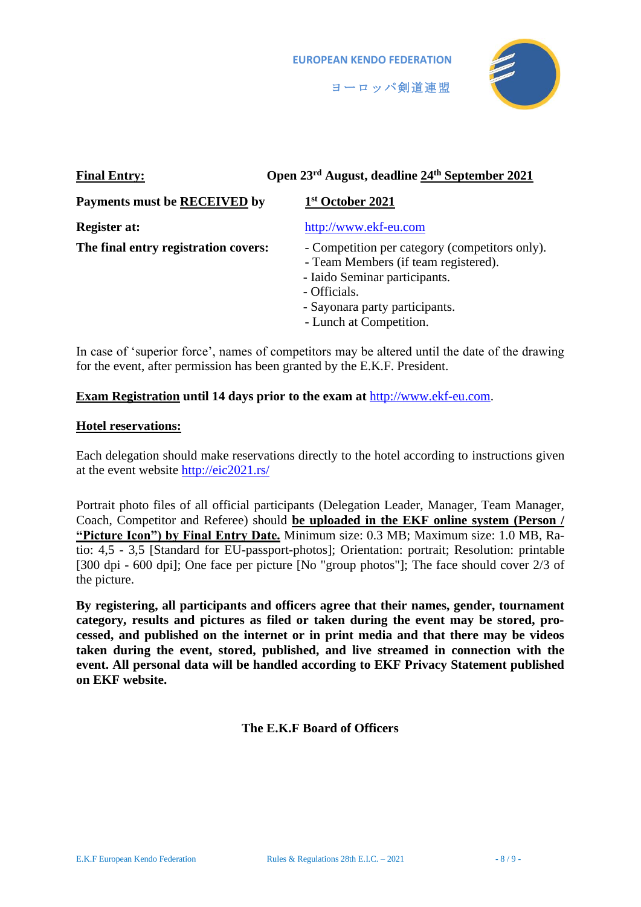

| <b>Final Entry:</b>                  | Open 23 <sup>rd</sup> August, deadline 24 <sup>th</sup> September 2021                                                                                                                               |
|--------------------------------------|------------------------------------------------------------------------------------------------------------------------------------------------------------------------------------------------------|
| <b>Payments must be RECEIVED by</b>  | 1st October 2021                                                                                                                                                                                     |
| <b>Register at:</b>                  | http://www.ekf-eu.com                                                                                                                                                                                |
| The final entry registration covers: | - Competition per category (competitors only).<br>- Team Members (if team registered).<br>- Iaido Seminar participants.<br>- Officials.<br>- Sayonara party participants.<br>- Lunch at Competition. |

In case of 'superior force', names of competitors may be altered until the date of the drawing for the event, after permission has been granted by the E.K.F. President.

#### **Exam Registration until 14 days prior to the exam at** [http://www.ekf-eu.com.](http://www.ekf-eu.com/)

#### **Hotel reservations:**

Each delegation should make reservations directly to the hotel according to instructions given at the event website<http://eic2021.rs/>

Portrait photo files of all official participants (Delegation Leader, Manager, Team Manager, Coach, Competitor and Referee) should **be uploaded in the EKF online system (Person / "Picture Icon") by Final Entry Date.** Minimum size: 0.3 MB; Maximum size: 1.0 MB, Ratio: 4,5 - 3,5 [Standard for EU-passport-photos]; Orientation: portrait; Resolution: printable [300 dpi - 600 dpi]; One face per picture [No "group photos"]; The face should cover 2/3 of the picture.

**By registering, all participants and officers agree that their names, gender, tournament category, results and pictures as filed or taken during the event may be stored, processed, and published on the internet or in print media and that there may be videos taken during the event, stored, published, and live streamed in connection with the event. All personal data will be handled according to EKF Privacy Statement published on EKF website.**

**The E.K.F Board of Officers**